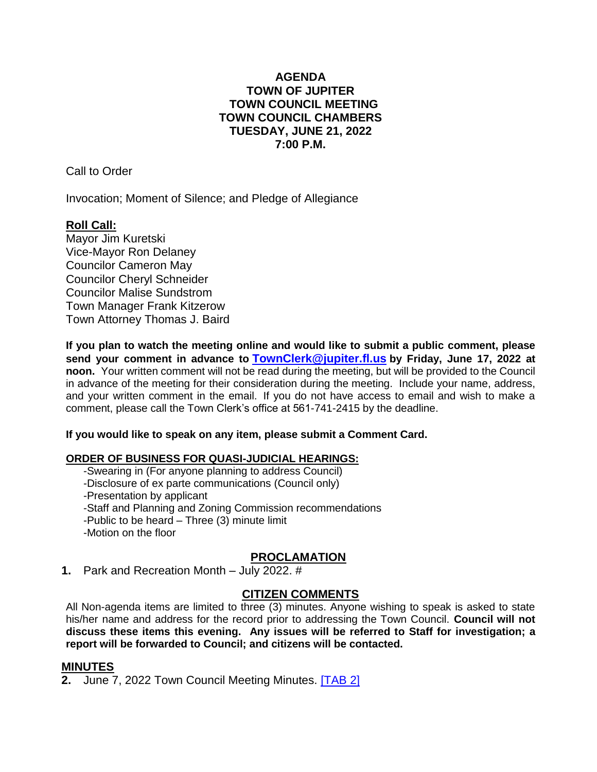#### **AGENDA TOWN OF JUPITER TOWN COUNCIL MEETING TOWN COUNCIL CHAMBERS TUESDAY, JUNE 21, 2022 7:00 P.M.**

Call to Order

Invocation; Moment of Silence; and Pledge of Allegiance

# **Roll Call:**

Mayor Jim Kuretski Vice-Mayor Ron Delaney Councilor Cameron May Councilor Cheryl Schneider Councilor Malise Sundstrom Town Manager Frank Kitzerow Town Attorney Thomas J. Baird

**If you plan to watch the meeting online and would like to submit a public comment, please send your comment in advance to [TownClerk@jupiter.fl.us](mailto:TownClerk@jupiter.fl.us) by Friday, June 17, 2022 at noon.** Your written comment will not be read during the meeting, but will be provided to the Council in advance of the meeting for their consideration during the meeting. Include your name, address, and your written comment in the email. If you do not have access to email and wish to make a comment, please call the Town Clerk's office at 561-741-2415 by the deadline.

#### **If you would like to speak on any item, please submit a Comment Card.**

#### **ORDER OF BUSINESS FOR QUASI-JUDICIAL HEARINGS:**

-Swearing in (For anyone planning to address Council)

-Disclosure of ex parte communications (Council only)

-Presentation by applicant

-Staff and Planning and Zoning Commission recommendations

-Public to be heard – Three (3) minute limit

-Motion on the floor

# **PROCLAMATION**

**1.** Park and Recreation Month – July 2022. #

#### **CITIZEN COMMENTS**

All Non-agenda items are limited to three (3) minutes. Anyone wishing to speak is asked to state his/her name and address for the record prior to addressing the Town Council. **Council will not discuss these items this evening. Any issues will be referred to Staff for investigation; a report will be forwarded to Council; and citizens will be contacted.**

#### **MINUTES**

**2.** June 7, 2022 Town Council Meeting Minutes. **[\[TAB 2\]](http://www.jupiter.fl.us/documentcenter/view/30126)**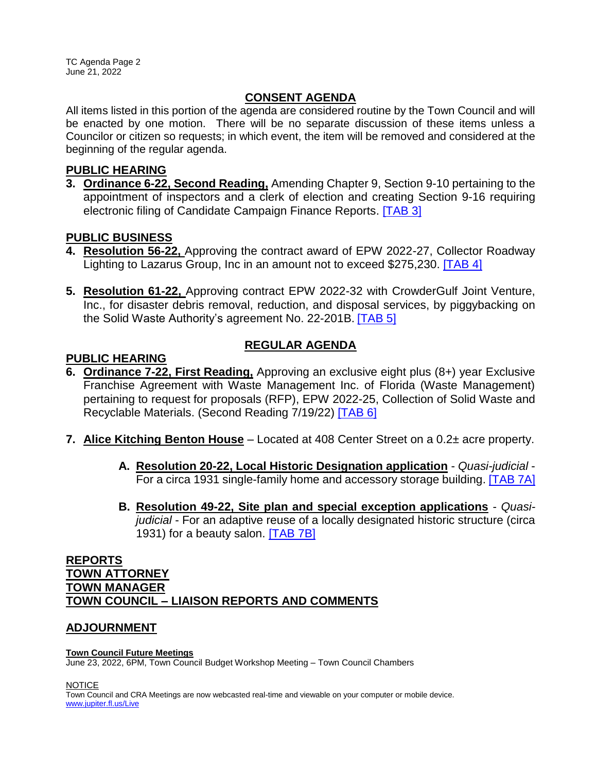## **CONSENT AGENDA**

All items listed in this portion of the agenda are considered routine by the Town Council and will be enacted by one motion. There will be no separate discussion of these items unless a Councilor or citizen so requests; in which event, the item will be removed and considered at the beginning of the regular agenda.

#### **PUBLIC HEARING**

**3. Ordinance 6-22, Second Reading,** Amending Chapter 9, Section 9-10 pertaining to the appointment of inspectors and a clerk of election and creating Section 9-16 requiring electronic filing of Candidate Campaign Finance Reports. [\[TAB 3\]](http://www.jupiter.fl.us/documentcenter/view/30127)

#### **PUBLIC BUSINESS**

- **4. Resolution 56-22,** Approving the contract award of EPW 2022-27, Collector Roadway Lighting to Lazarus Group, Inc in an amount not to exceed \$275,230. [\[TAB 4\]](http://www.jupiter.fl.us/documentcenter/view/30128)
- **5. Resolution 61-22,** Approving contract EPW 2022-32 with CrowderGulf Joint Venture, Inc., for disaster debris removal, reduction, and disposal services, by piggybacking on the Solid Waste Authority's agreement No. 22-201B. [\[TAB 5\]](http://www.jupiter.fl.us/documentcenter/view/30129)

## **PUBLIC HEARING**

# **REGULAR AGENDA**

- **6. Ordinance 7-22, First Reading,** Approving an exclusive eight plus (8+) year Exclusive Franchise Agreement with Waste Management Inc. of Florida (Waste Management) pertaining to request for proposals (RFP), EPW 2022-25, Collection of Solid Waste and Recyclable Materials. (Second Reading 7/19/22) [\[TAB 6\]](http://www.jupiter.fl.us/documentcenter/view/30130)
- **7. Alice Kitching Benton House** Located at 408 Center Street on a 0.2± acre property.
	- **A. Resolution 20-22, Local Historic Designation application** *Quasi-judicial* For a circa 1931 single-family home and accessory storage building. [\[TAB 7A\]](http://www.jupiter.fl.us/documentcenter/view/30131)
	- **B. Resolution 49-22, Site plan and special exception applications** *Quasijudicial* - For an adaptive reuse of a locally designated historic structure (circa 1931) for a beauty salon. **[TAB 7B]**

## **REPORTS TOWN ATTORNEY TOWN MANAGER TOWN COUNCIL – LIAISON REPORTS AND COMMENTS**

#### **ADJOURNMENT**

#### **Town Council Future Meetings**

June 23, 2022, 6PM, Town Council Budget Workshop Meeting – Town Council Chambers

**NOTICE** 

Town Council and CRA Meetings are now webcasted real-time and viewable on your computer or mobile device. [www.jupiter.fl.us/Live](http://www.jupiter.fl.us/Live)